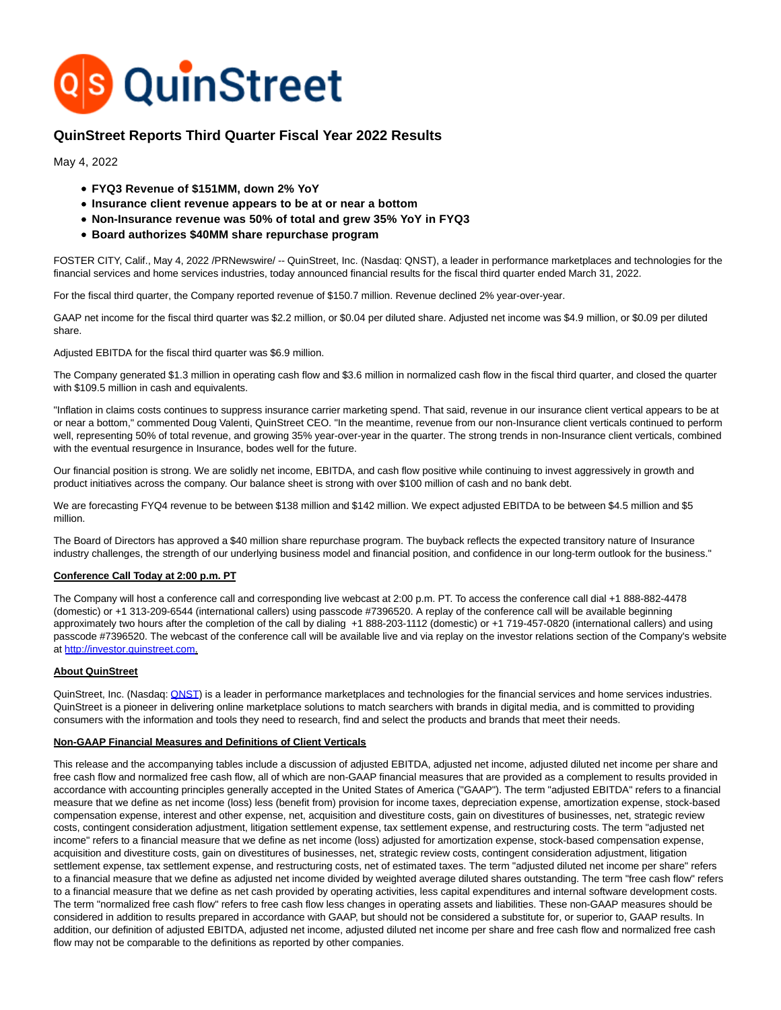

# **QuinStreet Reports Third Quarter Fiscal Year 2022 Results**

May 4, 2022

- **FYQ3 Revenue of \$151MM, down 2% YoY**
- **Insurance client revenue appears to be at or near a bottom**
- **Non-Insurance revenue was 50% of total and grew 35% YoY in FYQ3**
- **Board authorizes \$40MM share repurchase program**

FOSTER CITY, Calif., May 4, 2022 /PRNewswire/ -- QuinStreet, Inc. (Nasdaq: QNST), a leader in performance marketplaces and technologies for the financial services and home services industries, today announced financial results for the fiscal third quarter ended March 31, 2022.

For the fiscal third quarter, the Company reported revenue of \$150.7 million. Revenue declined 2% year-over-year.

GAAP net income for the fiscal third quarter was \$2.2 million, or \$0.04 per diluted share. Adjusted net income was \$4.9 million, or \$0.09 per diluted share.

Adjusted EBITDA for the fiscal third quarter was \$6.9 million.

The Company generated \$1.3 million in operating cash flow and \$3.6 million in normalized cash flow in the fiscal third quarter, and closed the quarter with \$109.5 million in cash and equivalents.

"Inflation in claims costs continues to suppress insurance carrier marketing spend. That said, revenue in our insurance client vertical appears to be at or near a bottom," commented Doug Valenti, QuinStreet CEO. "In the meantime, revenue from our non-Insurance client verticals continued to perform well, representing 50% of total revenue, and growing 35% year-over-year in the quarter. The strong trends in non-Insurance client verticals, combined with the eventual resurgence in Insurance, bodes well for the future.

Our financial position is strong. We are solidly net income, EBITDA, and cash flow positive while continuing to invest aggressively in growth and product initiatives across the company. Our balance sheet is strong with over \$100 million of cash and no bank debt.

We are forecasting FYQ4 revenue to be between \$138 million and \$142 million. We expect adjusted EBITDA to be between \$4.5 million and \$5 million.

The Board of Directors has approved a \$40 million share repurchase program. The buyback reflects the expected transitory nature of Insurance industry challenges, the strength of our underlying business model and financial position, and confidence in our long-term outlook for the business."

# **Conference Call Today at 2:00 p.m. PT**

The Company will host a conference call and corresponding live webcast at 2:00 p.m. PT. To access the conference call dial +1 888-882-4478 (domestic) or +1 313-209-6544 (international callers) using passcode #7396520. A replay of the conference call will be available beginning approximately two hours after the completion of the call by dialing +1 888-203-1112 (domestic) or +1 719-457-0820 (international callers) and using passcode #7396520. The webcast of the conference call will be available live and via replay on the investor relations section of the Company's website at [http://investor.quinstreet.com.](http://investor.quinstreet.com/)

# **About QuinStreet**

QuinStreet, Inc. (Nasdaq: **QNST**) is a leader in performance marketplaces and technologies for the financial services and home services industries. QuinStreet is a pioneer in delivering online marketplace solutions to match searchers with brands in digital media, and is committed to providing consumers with the information and tools they need to research, find and select the products and brands that meet their needs.

# **Non-GAAP Financial Measures and Definitions of Client Verticals**

This release and the accompanying tables include a discussion of adjusted EBITDA, adjusted net income, adjusted diluted net income per share and free cash flow and normalized free cash flow, all of which are non-GAAP financial measures that are provided as a complement to results provided in accordance with accounting principles generally accepted in the United States of America ("GAAP"). The term "adjusted EBITDA" refers to a financial measure that we define as net income (loss) less (benefit from) provision for income taxes, depreciation expense, amortization expense, stock-based compensation expense, interest and other expense, net, acquisition and divestiture costs, gain on divestitures of businesses, net, strategic review costs, contingent consideration adjustment, litigation settlement expense, tax settlement expense, and restructuring costs. The term "adjusted net income" refers to a financial measure that we define as net income (loss) adjusted for amortization expense, stock-based compensation expense, acquisition and divestiture costs, gain on divestitures of businesses, net, strategic review costs, contingent consideration adjustment, litigation settlement expense, tax settlement expense, and restructuring costs, net of estimated taxes. The term "adjusted diluted net income per share" refers to a financial measure that we define as adjusted net income divided by weighted average diluted shares outstanding. The term "free cash flow" refers to a financial measure that we define as net cash provided by operating activities, less capital expenditures and internal software development costs. The term "normalized free cash flow" refers to free cash flow less changes in operating assets and liabilities. These non-GAAP measures should be considered in addition to results prepared in accordance with GAAP, but should not be considered a substitute for, or superior to, GAAP results. In addition, our definition of adjusted EBITDA, adjusted net income, adjusted diluted net income per share and free cash flow and normalized free cash flow may not be comparable to the definitions as reported by other companies.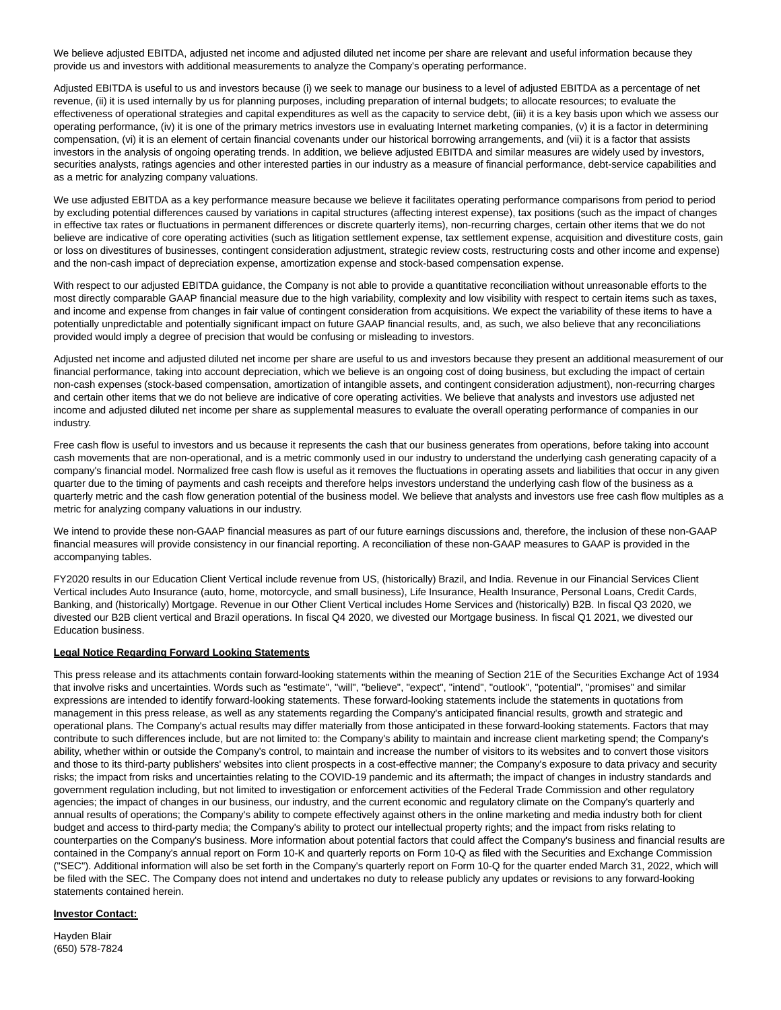We believe adjusted EBITDA, adjusted net income and adjusted diluted net income per share are relevant and useful information because they provide us and investors with additional measurements to analyze the Company's operating performance.

Adjusted EBITDA is useful to us and investors because (i) we seek to manage our business to a level of adjusted EBITDA as a percentage of net revenue, (ii) it is used internally by us for planning purposes, including preparation of internal budgets; to allocate resources; to evaluate the effectiveness of operational strategies and capital expenditures as well as the capacity to service debt, (iii) it is a key basis upon which we assess our operating performance, (iv) it is one of the primary metrics investors use in evaluating Internet marketing companies, (v) it is a factor in determining compensation, (vi) it is an element of certain financial covenants under our historical borrowing arrangements, and (vii) it is a factor that assists investors in the analysis of ongoing operating trends. In addition, we believe adjusted EBITDA and similar measures are widely used by investors, securities analysts, ratings agencies and other interested parties in our industry as a measure of financial performance, debt-service capabilities and as a metric for analyzing company valuations.

We use adjusted EBITDA as a key performance measure because we believe it facilitates operating performance comparisons from period to period by excluding potential differences caused by variations in capital structures (affecting interest expense), tax positions (such as the impact of changes in effective tax rates or fluctuations in permanent differences or discrete quarterly items), non-recurring charges, certain other items that we do not believe are indicative of core operating activities (such as litigation settlement expense, tax settlement expense, acquisition and divestiture costs, gain or loss on divestitures of businesses, contingent consideration adjustment, strategic review costs, restructuring costs and other income and expense) and the non-cash impact of depreciation expense, amortization expense and stock-based compensation expense.

With respect to our adjusted EBITDA guidance, the Company is not able to provide a quantitative reconciliation without unreasonable efforts to the most directly comparable GAAP financial measure due to the high variability, complexity and low visibility with respect to certain items such as taxes, and income and expense from changes in fair value of contingent consideration from acquisitions. We expect the variability of these items to have a potentially unpredictable and potentially significant impact on future GAAP financial results, and, as such, we also believe that any reconciliations provided would imply a degree of precision that would be confusing or misleading to investors.

Adjusted net income and adjusted diluted net income per share are useful to us and investors because they present an additional measurement of our financial performance, taking into account depreciation, which we believe is an ongoing cost of doing business, but excluding the impact of certain non-cash expenses (stock-based compensation, amortization of intangible assets, and contingent consideration adjustment), non-recurring charges and certain other items that we do not believe are indicative of core operating activities. We believe that analysts and investors use adjusted net income and adjusted diluted net income per share as supplemental measures to evaluate the overall operating performance of companies in our industry.

Free cash flow is useful to investors and us because it represents the cash that our business generates from operations, before taking into account cash movements that are non-operational, and is a metric commonly used in our industry to understand the underlying cash generating capacity of a company's financial model. Normalized free cash flow is useful as it removes the fluctuations in operating assets and liabilities that occur in any given quarter due to the timing of payments and cash receipts and therefore helps investors understand the underlying cash flow of the business as a quarterly metric and the cash flow generation potential of the business model. We believe that analysts and investors use free cash flow multiples as a metric for analyzing company valuations in our industry.

We intend to provide these non-GAAP financial measures as part of our future earnings discussions and, therefore, the inclusion of these non-GAAP financial measures will provide consistency in our financial reporting. A reconciliation of these non-GAAP measures to GAAP is provided in the accompanying tables.

FY2020 results in our Education Client Vertical include revenue from US, (historically) Brazil, and India. Revenue in our Financial Services Client Vertical includes Auto Insurance (auto, home, motorcycle, and small business), Life Insurance, Health Insurance, Personal Loans, Credit Cards, Banking, and (historically) Mortgage. Revenue in our Other Client Vertical includes Home Services and (historically) B2B. In fiscal Q3 2020, we divested our B2B client vertical and Brazil operations. In fiscal Q4 2020, we divested our Mortgage business. In fiscal Q1 2021, we divested our Education business.

# **Legal Notice Regarding Forward Looking Statements**

This press release and its attachments contain forward-looking statements within the meaning of Section 21E of the Securities Exchange Act of 1934 that involve risks and uncertainties. Words such as "estimate", "will", "believe", "expect", "intend", "outlook", "potential", "promises" and similar expressions are intended to identify forward-looking statements. These forward-looking statements include the statements in quotations from management in this press release, as well as any statements regarding the Company's anticipated financial results, growth and strategic and operational plans. The Company's actual results may differ materially from those anticipated in these forward-looking statements. Factors that may contribute to such differences include, but are not limited to: the Company's ability to maintain and increase client marketing spend; the Company's ability, whether within or outside the Company's control, to maintain and increase the number of visitors to its websites and to convert those visitors and those to its third-party publishers' websites into client prospects in a cost-effective manner; the Company's exposure to data privacy and security risks; the impact from risks and uncertainties relating to the COVID-19 pandemic and its aftermath; the impact of changes in industry standards and government regulation including, but not limited to investigation or enforcement activities of the Federal Trade Commission and other regulatory agencies; the impact of changes in our business, our industry, and the current economic and regulatory climate on the Company's quarterly and annual results of operations; the Company's ability to compete effectively against others in the online marketing and media industry both for client budget and access to third-party media; the Company's ability to protect our intellectual property rights; and the impact from risks relating to counterparties on the Company's business. More information about potential factors that could affect the Company's business and financial results are contained in the Company's annual report on Form 10-K and quarterly reports on Form 10-Q as filed with the Securities and Exchange Commission ("SEC"). Additional information will also be set forth in the Company's quarterly report on Form 10-Q for the quarter ended March 31, 2022, which will be filed with the SEC. The Company does not intend and undertakes no duty to release publicly any updates or revisions to any forward-looking statements contained herein.

# **Investor Contact:**

Hayden Blair (650) 578-7824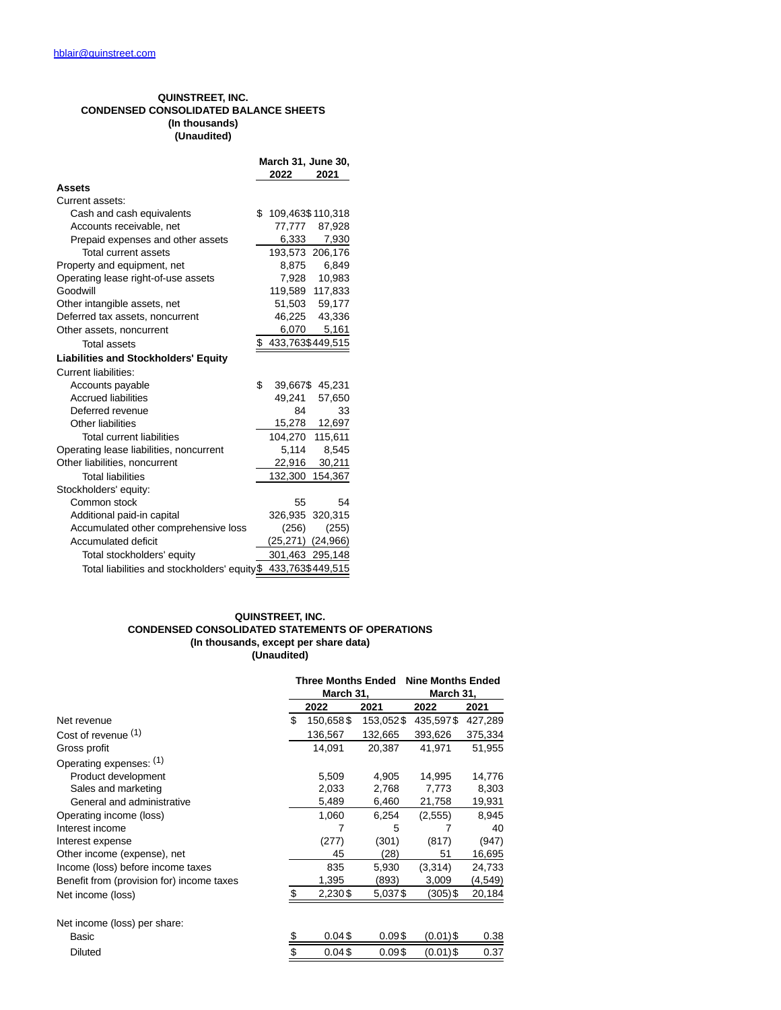# **QUINSTREET, INC. CONDENSED CONSOLIDATED BALANCE SHEETS (In thousands) (Unaudited)**

|                                                                | March 31, June 30, |                       |                 |  |  |
|----------------------------------------------------------------|--------------------|-----------------------|-----------------|--|--|
|                                                                |                    | 2022                  | 2021            |  |  |
| Assets                                                         |                    |                       |                 |  |  |
| Current assets:                                                |                    |                       |                 |  |  |
| Cash and cash equivalents                                      | \$                 | 109,463\$110,318      |                 |  |  |
| Accounts receivable, net                                       |                    | 77,777                | 87,928          |  |  |
| Prepaid expenses and other assets                              |                    | 6,333                 | 7,930           |  |  |
| <b>Total current assets</b>                                    |                    |                       | 193,573 206,176 |  |  |
| Property and equipment, net                                    |                    | 8,875                 | 6,849           |  |  |
| Operating lease right-of-use assets                            |                    |                       | 7,928 10,983    |  |  |
| Goodwill                                                       |                    |                       | 119,589 117,833 |  |  |
| Other intangible assets, net                                   |                    |                       | 51,503 59,177   |  |  |
| Deferred tax assets, noncurrent                                |                    |                       | 46,225 43,336   |  |  |
| Other assets, noncurrent                                       |                    | 6,070                 | 5,161           |  |  |
| <b>Total assets</b>                                            | \$                 | 433,763\$449,515      |                 |  |  |
| <b>Liabilities and Stockholders' Equity</b>                    |                    |                       |                 |  |  |
| <b>Current liabilities:</b>                                    |                    |                       |                 |  |  |
| Accounts payable                                               | \$                 | 39,667\$              | 45,231          |  |  |
| <b>Accrued liabilities</b>                                     |                    | 49,241                | 57,650          |  |  |
| Deferred revenue                                               |                    | 84                    | 33              |  |  |
| Other liabilities                                              |                    | 15,278                | 12,697          |  |  |
| <b>Total current liabilities</b>                               |                    | 104,270               | 115,611         |  |  |
| Operating lease liabilities, noncurrent                        |                    | 5,114                 | 8,545           |  |  |
| Other liabilities, noncurrent                                  |                    | 22,916                | 30,211          |  |  |
| <b>Total liabilities</b>                                       |                    | 132,300               | 154,367         |  |  |
| Stockholders' equity:                                          |                    |                       |                 |  |  |
| Common stock                                                   |                    | 55                    | 54              |  |  |
| Additional paid-in capital                                     |                    |                       | 326,935 320,315 |  |  |
| Accumulated other comprehensive loss                           |                    | (256)                 | (255)           |  |  |
| Accumulated deficit                                            |                    | $(25,271)$ $(24,966)$ |                 |  |  |
| Total stockholders' equity                                     |                    |                       | 301,463 295,148 |  |  |
| Total liabilities and stockholders' equity \$ 433,763\$449,515 |                    |                       |                 |  |  |

# **QUINSTREET, INC. CONDENSED CONSOLIDATED STATEMENTS OF OPERATIONS (In thousands, except per share data) (Unaudited)**

|                                           | <b>Three Months Ended</b><br>March 31, |           | <b>Nine Months Ended</b><br>March 31, |         |  |
|-------------------------------------------|----------------------------------------|-----------|---------------------------------------|---------|--|
|                                           | 2022                                   | 2021      | 2022                                  | 2021    |  |
| Net revenue                               | \$<br>150,658\$                        | 153,052\$ | 435,597\$                             | 427,289 |  |
| Cost of revenue (1)                       | 136,567                                | 132,665   | 393,626                               | 375,334 |  |
| Gross profit                              | 14,091                                 | 20,387    | 41,971                                | 51,955  |  |
| Operating expenses: (1)                   |                                        |           |                                       |         |  |
| Product development                       | 5,509                                  | 4,905     | 14,995                                | 14,776  |  |
| Sales and marketing                       | 2,033                                  | 2,768     | 7,773                                 | 8,303   |  |
| General and administrative                | 5,489                                  | 6,460     | 21,758                                | 19,931  |  |
| Operating income (loss)                   | 1,060                                  | 6,254     | (2, 555)                              | 8,945   |  |
| Interest income                           | 7                                      | 5         |                                       | 40      |  |
| Interest expense                          | (277)                                  | (301)     | (817)                                 | (947)   |  |
| Other income (expense), net               | 45                                     | (28)      | 51                                    | 16,695  |  |
| Income (loss) before income taxes         | 835                                    | 5,930     | (3,314)                               | 24,733  |  |
| Benefit from (provision for) income taxes | 1,395                                  | (893)     | 3,009                                 | (4,549) |  |
| Net income (loss)                         | \$<br>2,230\$                          | 5,037\$   | (305)\$                               | 20,184  |  |
| Net income (loss) per share:              |                                        |           |                                       |         |  |
| Basic                                     | \$<br>0.04\$                           | 0.09\$    | $(0.01)$ \$                           | 0.38    |  |
| <b>Diluted</b>                            | \$<br>0.04\$                           | 0.09\$    | (0.01)\$                              | 0.37    |  |
|                                           |                                        |           |                                       |         |  |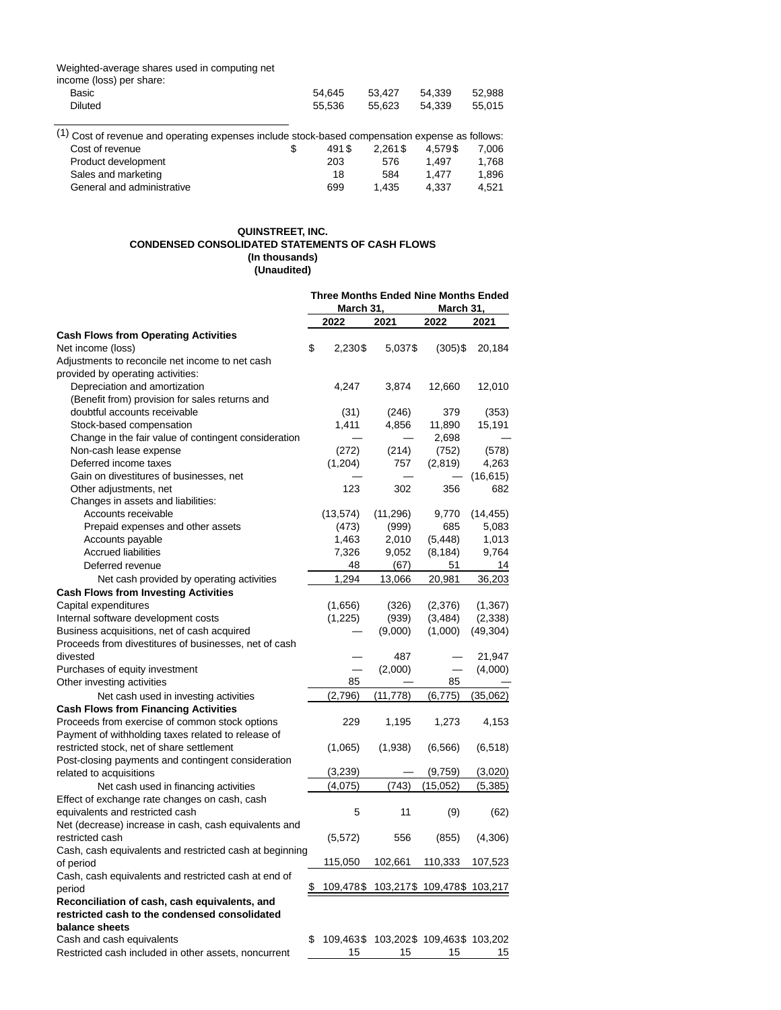#### Weighted-average shares used in computing net

| income (loss) per share: |        |        |        |        |
|--------------------------|--------|--------|--------|--------|
| Basic                    | 54.645 | 53.427 | 54.339 | 52.988 |
| Diluted                  | 55.536 | 55.623 | 54.339 | 55.015 |
|                          |        |        |        |        |

| (1) Cost of revenue and operating expenses include stock-based compensation expense as follows: |       |            |         |       |
|-------------------------------------------------------------------------------------------------|-------|------------|---------|-------|
| Cost of revenue                                                                                 | 491\$ | $2.261$ \$ | 4.579\$ | 7.006 |
| Product development                                                                             | 203   | 576        | 1.497   | 1.768 |
| Sales and marketing                                                                             | 18    | 584        | 1.477   | 1.896 |
| General and administrative                                                                      | 699   | 1.435      | 4.337   | 4.521 |

### **QUINSTREET, INC. CONDENSED CONSOLIDATED STATEMENTS OF CASH FLOWS (In thousands) (Unaudited)**

|                                                         |    | <b>Three Months Ended Nine Months Ended</b><br>March 31, |                                       |              |                |
|---------------------------------------------------------|----|----------------------------------------------------------|---------------------------------------|--------------|----------------|
|                                                         |    | March 31,<br>2022                                        | 2021                                  | 2022         | 2021           |
| <b>Cash Flows from Operating Activities</b>             |    |                                                          |                                       |              |                |
| Net income (loss)                                       | \$ | 2,230\$                                                  | 5,037\$                               | $(305)$ \$   | 20,184         |
| Adjustments to reconcile net income to net cash         |    |                                                          |                                       |              |                |
| provided by operating activities:                       |    |                                                          |                                       |              |                |
| Depreciation and amortization                           |    | 4,247                                                    | 3,874                                 | 12,660       | 12,010         |
| (Benefit from) provision for sales returns and          |    |                                                          |                                       |              |                |
| doubtful accounts receivable                            |    | (31)                                                     | (246)                                 | 379          | (353)          |
| Stock-based compensation                                |    | 1,411                                                    | 4,856                                 | 11,890       | 15,191         |
| Change in the fair value of contingent consideration    |    |                                                          |                                       | 2,698        |                |
| Non-cash lease expense                                  |    | (272)                                                    | (214)                                 | (752)        | (578)          |
| Deferred income taxes                                   |    | (1,204)                                                  | 757                                   | (2, 819)     | 4,263          |
| Gain on divestitures of businesses, net                 |    |                                                          |                                       |              | (16, 615)      |
| Other adjustments, net                                  |    | 123                                                      | 302                                   | 356          | 682            |
| Changes in assets and liabilities:                      |    |                                                          |                                       |              |                |
| Accounts receivable                                     |    | (13, 574)                                                |                                       |              | (14, 455)      |
|                                                         |    |                                                          | (11, 296)                             | 9,770<br>685 |                |
| Prepaid expenses and other assets                       |    | (473)                                                    | (999)                                 |              | 5,083<br>1,013 |
| Accounts payable<br><b>Accrued liabilities</b>          |    | 1,463                                                    | 2,010                                 | (5, 448)     |                |
|                                                         |    | 7,326                                                    | 9,052                                 | (8, 184)     | 9,764          |
| Deferred revenue                                        |    | 48                                                       | (67)                                  | 51           | 14             |
| Net cash provided by operating activities               |    | 1,294                                                    | 13,066                                | 20,981       | 36,203         |
| <b>Cash Flows from Investing Activities</b>             |    |                                                          |                                       |              |                |
| Capital expenditures                                    |    | (1,656)                                                  | (326)                                 | (2,376)      | (1, 367)       |
| Internal software development costs                     |    | (1,225)                                                  | (939)                                 | (3,484)      | (2,338)        |
| Business acquisitions, net of cash acquired             |    |                                                          | (9,000)                               | (1,000)      | (49, 304)      |
| Proceeds from divestitures of businesses, net of cash   |    |                                                          |                                       |              |                |
| divested                                                |    |                                                          | 487                                   |              | 21,947         |
| Purchases of equity investment                          |    |                                                          | (2,000)                               |              | (4,000)        |
| Other investing activities                              |    | 85                                                       |                                       | 85           |                |
| Net cash used in investing activities                   |    | (2,796)                                                  | (11,778)                              | (6, 775)     | (35,062)       |
| <b>Cash Flows from Financing Activities</b>             |    |                                                          |                                       |              |                |
| Proceeds from exercise of common stock options          |    | 229                                                      | 1,195                                 | 1,273        | 4,153          |
| Payment of withholding taxes related to release of      |    |                                                          |                                       |              |                |
| restricted stock, net of share settlement               |    | (1,065)                                                  | (1,938)                               | (6, 566)     | (6, 518)       |
| Post-closing payments and contingent consideration      |    |                                                          |                                       |              |                |
| related to acquisitions                                 |    | (3,239)                                                  |                                       | (9,759)      | (3,020)        |
| Net cash used in financing activities                   |    | (4,075)                                                  | (743)                                 | (15,052)     | (5,385)        |
| Effect of exchange rate changes on cash, cash           |    |                                                          |                                       |              |                |
| equivalents and restricted cash                         |    | 5                                                        | 11                                    | (9)          | (62)           |
| Net (decrease) increase in cash, cash equivalents and   |    |                                                          |                                       |              |                |
| restricted cash                                         |    | (5, 572)                                                 | 556                                   | (855)        | (4,306)        |
| Cash, cash equivalents and restricted cash at beginning |    |                                                          |                                       |              |                |
| of period                                               |    | 115,050                                                  | 102,661                               | 110,333      | 107,523        |
| Cash, cash equivalents and restricted cash at end of    |    |                                                          |                                       |              |                |
| period                                                  | \$ |                                                          | 109,478\$ 103,217\$ 109,478\$ 103,217 |              |                |
| Reconciliation of cash, cash equivalents, and           |    |                                                          |                                       |              |                |
| restricted cash to the condensed consolidated           |    |                                                          |                                       |              |                |
| balance sheets                                          |    |                                                          |                                       |              |                |
| Cash and cash equivalents                               | \$ |                                                          | 109,463\$ 103,202\$ 109,463\$ 103,202 |              |                |
| Restricted cash included in other assets, noncurrent    |    | 15                                                       | 15                                    | 15           | 15             |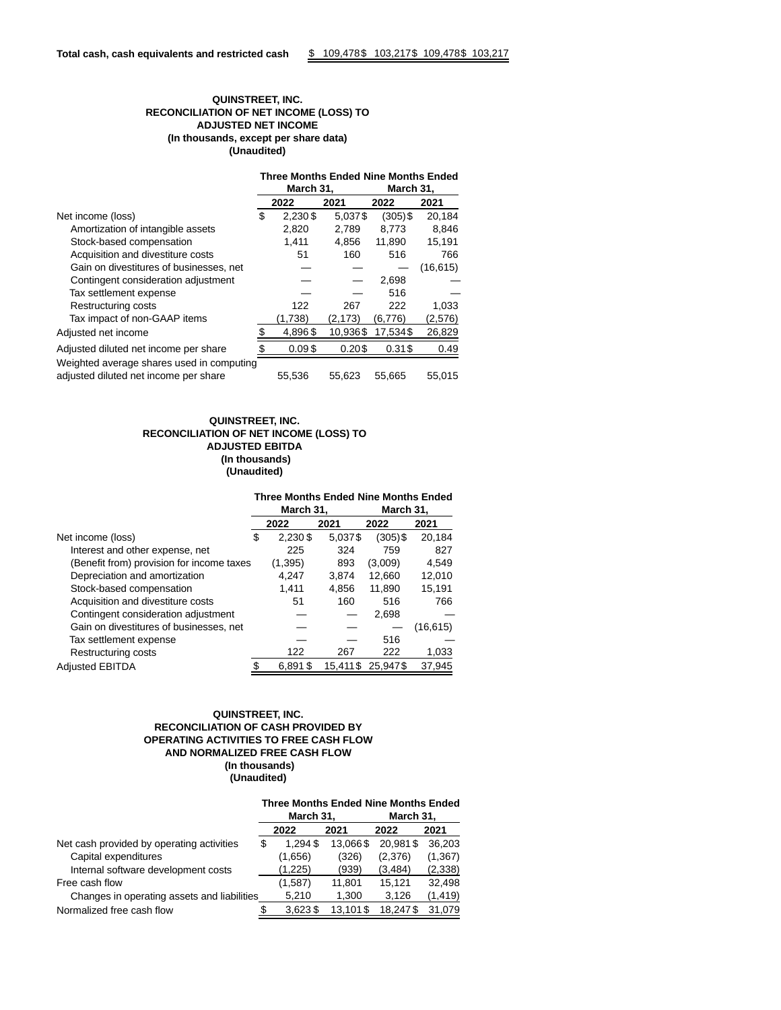# **QUINSTREET, INC. RECONCILIATION OF NET INCOME (LOSS) TO ADJUSTED NET INCOME (In thousands, except per share data) (Unaudited)**

|                                           | <b>Three Months Ended Nine Months Ended</b> |                        |          |            |           |  |  |
|-------------------------------------------|---------------------------------------------|------------------------|----------|------------|-----------|--|--|
|                                           |                                             | March 31,<br>March 31, |          |            |           |  |  |
|                                           |                                             | 2022                   | 2021     | 2022       | 2021      |  |  |
| Net income (loss)                         | \$                                          | 2.230\$                | 5,037\$  | $(305)$ \$ | 20,184    |  |  |
| Amortization of intangible assets         |                                             | 2,820                  | 2,789    | 8.773      | 8,846     |  |  |
| Stock-based compensation                  |                                             | 1,411                  | 4,856    | 11,890     | 15,191    |  |  |
| Acquisition and divestiture costs         |                                             | 51                     | 160      | 516        | 766       |  |  |
| Gain on divestitures of businesses, net   |                                             |                        |          |            | (16, 615) |  |  |
| Contingent consideration adjustment       |                                             |                        |          | 2,698      |           |  |  |
| Tax settlement expense                    |                                             |                        |          | 516        |           |  |  |
| Restructuring costs                       |                                             | 122                    | 267      | 222        | 1,033     |  |  |
| Tax impact of non-GAAP items              |                                             | (1,738)                | (2, 173) | (6,776)    | (2, 576)  |  |  |
| Adjusted net income                       | \$                                          | 4,896\$                | 10.936\$ | 17,534\$   | 26,829    |  |  |
| Adjusted diluted net income per share     |                                             | 0.09\$                 | 0.20\$   | $0.31$ \$  | 0.49      |  |  |
| Weighted average shares used in computing |                                             |                        |          |            |           |  |  |
| adjusted diluted net income per share     |                                             | 55,536                 | 55,623   | 55,665     | 55,015    |  |  |

# **QUINSTREET, INC. RECONCILIATION OF NET INCOME (LOSS) TO ADJUSTED EBITDA (In thousands) (Unaudited)**

### **Three Months Ended Nine Months Ended**

|                                           | March 31,     |          | March 31,  |           |  |
|-------------------------------------------|---------------|----------|------------|-----------|--|
|                                           | 2022          | 2021     | 2022       | 2021      |  |
| Net income (loss)                         | \$<br>2,230\$ | 5,037\$  | $(305)$ \$ | 20,184    |  |
| Interest and other expense, net           | 225           | 324      | 759        | 827       |  |
| (Benefit from) provision for income taxes | (1, 395)      | 893      | (3,009)    | 4,549     |  |
| Depreciation and amortization             | 4.247         | 3.874    | 12,660     | 12,010    |  |
| Stock-based compensation                  | 1.411         | 4.856    | 11,890     | 15,191    |  |
| Acquisition and divestiture costs         | 51            | 160      | 516        | 766       |  |
| Contingent consideration adjustment       |               |          | 2,698      |           |  |
| Gain on divestitures of businesses, net   |               |          |            | (16, 615) |  |
| Tax settlement expense                    |               |          | 516        |           |  |
| Restructuring costs                       | 122           | 267      | 222        | 1,033     |  |
| <b>Adjusted EBITDA</b>                    | 6,891\$       | 15,411\$ | 25.947\$   | 37,945    |  |

# **QUINSTREET, INC. RECONCILIATION OF CASH PROVIDED BY OPERATING ACTIVITIES TO FREE CASH FLOW AND NORMALIZED FREE CASH FLOW (In thousands) (Unaudited)**

|                                             | <b>Three Months Ended Nine Months Ended</b><br>March 31,<br>March 31, |            |          |          |          |  |
|---------------------------------------------|-----------------------------------------------------------------------|------------|----------|----------|----------|--|
|                                             |                                                                       | 2022       | 2021     | 2022     | 2021     |  |
| Net cash provided by operating activities   | S                                                                     | 1.294\$    | 13.066\$ | 20.981\$ | 36,203   |  |
| Capital expenditures                        |                                                                       | (1,656)    | (326)    | (2,376)  | (1, 367) |  |
| Internal software development costs         |                                                                       | (1.225)    | (939)    | (3, 484) | (2,338)  |  |
| Free cash flow                              |                                                                       | (1,587)    | 11,801   | 15.121   | 32,498   |  |
| Changes in operating assets and liabilities |                                                                       | 5,210      | 1.300    | 3.126    | (1, 419) |  |
| Normalized free cash flow                   |                                                                       | $3.623$ \$ | 13.101\$ | 18.247\$ | 31.079   |  |